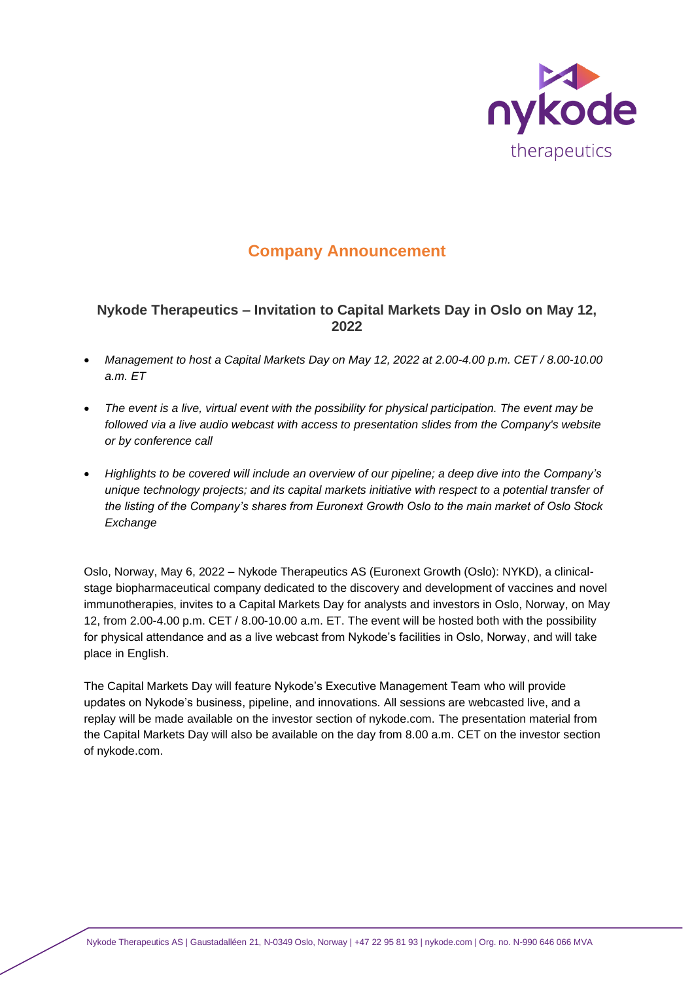

# **Company Announcement**

## **Nykode Therapeutics – Invitation to Capital Markets Day in Oslo on May 12, 2022**

- *Management to host a Capital Markets Day on May 12, 2022 at 2.00-4.00 p.m. CET / 8.00-10.00 a.m. ET*
- *The event is a live, virtual event with the possibility for physical participation. The event may be followed via a live audio webcast with access to presentation slides from the Company's website or by conference call*
- *Highlights to be covered will include an overview of our pipeline; a deep dive into the Company's unique technology projects; and its capital markets initiative with respect to a potential transfer of the listing of the Company's shares from Euronext Growth Oslo to the main market of Oslo Stock Exchange*

Oslo, Norway, May 6, 2022 – Nykode Therapeutics AS (Euronext Growth (Oslo): NYKD), a clinicalstage biopharmaceutical company dedicated to the discovery and development of vaccines and novel immunotherapies, invites to a Capital Markets Day for analysts and investors in Oslo, Norway, on May 12, from 2.00-4.00 p.m. CET / 8.00-10.00 a.m. ET. The event will be hosted both with the possibility for physical attendance and as a live webcast from Nykode's facilities in Oslo, Norway, and will take place in English.

The Capital Markets Day will feature Nykode's Executive Management Team who will provide updates on Nykode's business, pipeline, and innovations. All sessions are webcasted live, and a replay will be made available on the investor section of nykode.com. The presentation material from the Capital Markets Day will also be available on the day from 8.00 a.m. CET on the investor section of nykode.com.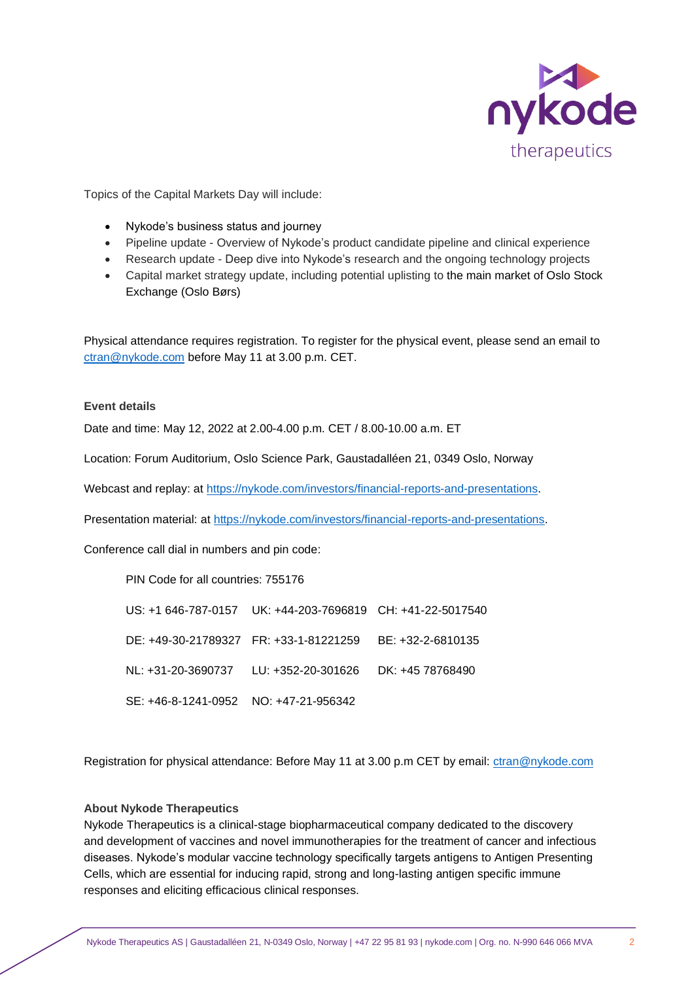

Topics of the Capital Markets Day will include:

- Nykode's business status and journey
- Pipeline update Overview of Nykode's product candidate pipeline and clinical experience
- Research update Deep dive into Nykode's research and the ongoing technology projects
- Capital market strategy update, including potential uplisting to the main market of Oslo Stock Exchange (Oslo Børs)

Physical attendance requires registration. To register for the physical event, please send an email to [ctran@nykode.com](mailto:ctran@nykode.com) before May 11 at 3.00 p.m. CET.

### **Event details**

Date and time: May 12, 2022 at 2.00-4.00 p.m. CET / 8.00-10.00 a.m. ET

Location: Forum Auditorium, Oslo Science Park, Gaustadalléen 21, 0349 Oslo, Norway

Webcast and replay: at [https://nykode.com/investors/financial-reports-and-presentations.](https://nykode.com/investors/financial-reports-and-presentations/)

Presentation material: at [https://nykode.com/investors/financial-reports-and-presentations.](https://nykode.com/investors/financial-reports-and-presentations/)

Conference call dial in numbers and pin code:

PIN Code for all countries: 755176

US: +1 646-787-0157 UK: +44-203-7696819 CH: +41-22-5017540 DE: +49-30-21789327 FR: +33-1-81221259 BE: +32-2-6810135 NL: +31-20-3690737 LU: +352-20-301626 DK: +45 78768490 SE: +46-8-1241-0952 NO: +47-21-956342

Registration for physical attendance: Before May 11 at 3.00 p.m CET by email[: ctran@nykode.com](mailto:ctran@nykode.com)

### **About Nykode Therapeutics**

Nykode Therapeutics is a clinical-stage biopharmaceutical company dedicated to the discovery and development of vaccines and novel immunotherapies for the treatment of cancer and infectious diseases. Nykode's modular vaccine technology specifically targets antigens to Antigen Presenting Cells, which are essential for inducing rapid, strong and long-lasting antigen specific immune responses and eliciting efficacious clinical responses.